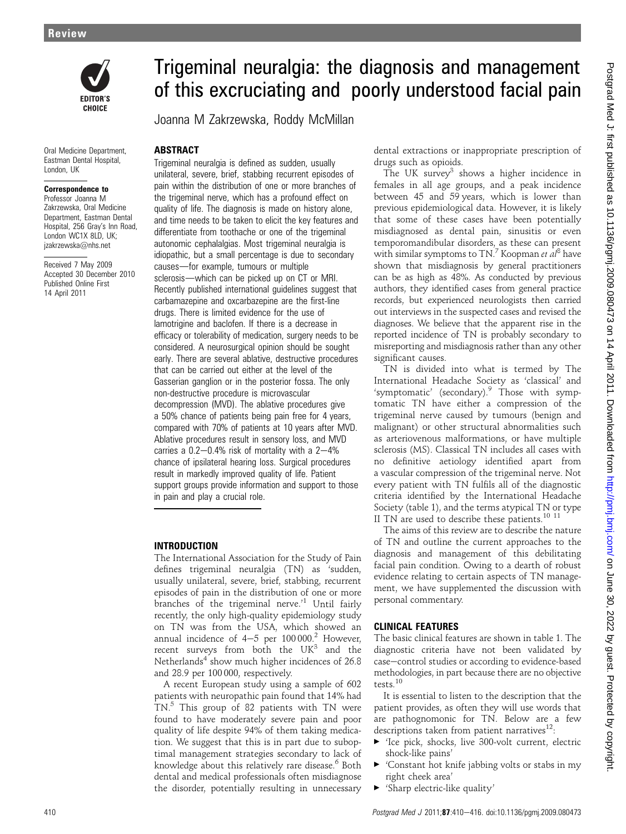

Oral Medicine Department, Eastman Dental Hospital, London, UK

#### Correspondence to

Professor Joanna M Zakrzewska, Oral Medicine Department, Eastman Dental Hospital, 256 Gray's Inn Road, London WC1X 8LD, UK; izakrzewska@nhs.net

Received 7 May 2009 Accepted 30 December 2010 Published Online First 14 April 2011

# Trigeminal neuralgia: the diagnosis and management of this excruciating and poorly understood facial pain

Joanna M Zakrzewska, Roddy McMillan

#### ABSTRACT

Trigeminal neuralgia is defined as sudden, usually unilateral, severe, brief, stabbing recurrent episodes of pain within the distribution of one or more branches of the trigeminal nerve, which has a profound effect on quality of life. The diagnosis is made on history alone, and time needs to be taken to elicit the key features and differentiate from toothache or one of the trigeminal autonomic cephalalgias. Most trigeminal neuralgia is idiopathic, but a small percentage is due to secondary causes-for example, tumours or multiple sclerosis-which can be picked up on CT or MRI. Recently published international guidelines suggest that carbamazepine and oxcarbazepine are the first-line drugs. There is limited evidence for the use of lamotrigine and baclofen. If there is a decrease in efficacy or tolerability of medication, surgery needs to be considered. A neurosurgical opinion should be sought early. There are several ablative, destructive procedures that can be carried out either at the level of the Gasserian ganglion or in the posterior fossa. The only non-destructive procedure is microvascular decompression (MVD). The ablative procedures give a 50% chance of patients being pain free for 4 years, compared with 70% of patients at 10 years after MVD. Ablative procedures result in sensory loss, and MVD carries a  $0.2-0.4\%$  risk of mortality with a  $2-4\%$ chance of ipsilateral hearing loss. Surgical procedures result in markedly improved quality of life. Patient support groups provide information and support to those in pain and play a crucial role.

#### INTRODUCTION

The International Association for the Study of Pain defines trigeminal neuralgia (TN) as 'sudden, usually unilateral, severe, brief, stabbing, recurrent episodes of pain in the distribution of one or more branches of the trigeminal nerve.'<sup>1</sup> Until fairly recently, the only high-quality epidemiology study on TN was from the USA, which showed an annual incidence of  $4-5$  per  $100000$ .<sup>2</sup> However, recent surveys from both the UK<sup>3</sup> and the Netherlands<sup>4</sup> show much higher incidences of  $26.8$ and 28.9 per 100 000, respectively.

A recent European study using a sample of 602 patients with neuropathic pain found that 14% had TN.5 This group of 82 patients with TN were found to have moderately severe pain and poor quality of life despite 94% of them taking medication. We suggest that this is in part due to suboptimal management strategies secondary to lack of knowledge about this relatively rare disease.<sup>6</sup> Both dental and medical professionals often misdiagnose the disorder, potentially resulting in unnecessary dental extractions or inappropriate prescription of drugs such as opioids.

The UK survey<sup>3</sup> shows a higher incidence in females in all age groups, and a peak incidence between 45 and 59 years, which is lower than previous epidemiological data. However, it is likely that some of these cases have been potentially misdiagnosed as dental pain, sinusitis or even temporomandibular disorders, as these can present with similar symptoms to TN.<sup>7</sup> Koopman et  $a^{18}$  have shown that misdiagnosis by general practitioners can be as high as 48%. As conducted by previous authors, they identified cases from general practice records, but experienced neurologists then carried out interviews in the suspected cases and revised the diagnoses. We believe that the apparent rise in the reported incidence of TN is probably secondary to misreporting and misdiagnosis rather than any other significant causes.

TN is divided into what is termed by The International Headache Society as 'classical' and 'symptomatic' (secondary). $\frac{9}{7}$  Those with symptomatic TN have either a compression of the trigeminal nerve caused by tumours (benign and malignant) or other structural abnormalities such as arteriovenous malformations, or have multiple sclerosis (MS). Classical TN includes all cases with no definitive aetiology identified apart from a vascular compression of the trigeminal nerve. Not every patient with TN fulfils all of the diagnostic criteria identified by the International Headache Society (table 1), and the terms atypical TN or type II TN are used to describe these patients.10 11

The aims of this review are to describe the nature of TN and outline the current approaches to the diagnosis and management of this debilitating facial pain condition. Owing to a dearth of robust evidence relating to certain aspects of TN management, we have supplemented the discussion with personal commentary.

# CLINICAL FEATURES

The basic clinical features are shown in table 1. The diagnostic criteria have not been validated by case-control studies or according to evidence-based methodologies, in part because there are no objective tests.<sup>10</sup>

It is essential to listen to the description that the patient provides, as often they will use words that are pathognomonic for TN. Below are a few descriptions taken from patient narratives $12$ :

- ▶ 'Ice pick, shocks, live 300-volt current, electric shock-like pains'
- ▶ 'Constant hot knife jabbing volts or stabs in my right cheek area'
- $\blacktriangleright$  'Sharp electric-like quality'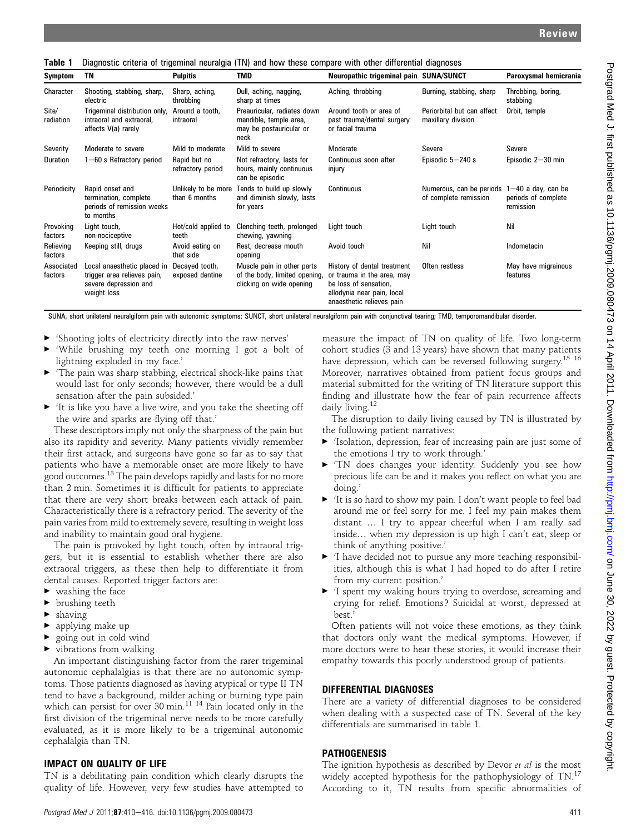Table 1 Diagnostic criteria of trigeminal neuralgia (TN) and how these compare with other differential diagnoses

| Symptom               | <b>TN</b>                                                                                          | <b>Pulpitis</b>                      | TMD                                                                                      | Neuropathic trigeminal pain SUNA/SUNCT                                                                                                        |                                                   | <b>Paroxysmal hemicrania</b>                             |
|-----------------------|----------------------------------------------------------------------------------------------------|--------------------------------------|------------------------------------------------------------------------------------------|-----------------------------------------------------------------------------------------------------------------------------------------------|---------------------------------------------------|----------------------------------------------------------|
| Character             | Shooting, stabbing, sharp,<br>electric                                                             | Sharp, aching,<br>throbbing          | Dull, aching, nagging,<br>sharp at times                                                 | Aching, throbbing                                                                                                                             | Burning, stabbing, sharp                          | Throbbing, boring,<br>stabbing                           |
| Site/<br>radiation    | Trigeminal distribution only,<br>intraoral and extraoral.<br>affects V(a) rarely                   | Around a tooth,<br>intraoral         | Preauricular, radiates down<br>mandible, temple area,<br>may be postauricular or<br>neck | Around tooth or area of<br>past trauma/dental surgery<br>or facial trauma                                                                     | Periorbital but can affect<br>maxillary division  | Orbit, temple                                            |
| Severity              | Moderate to severe                                                                                 | Mild to moderate                     | Mild to severe                                                                           | Moderate                                                                                                                                      | Severe                                            | Severe                                                   |
| Duration              | 1-60 s Refractory period                                                                           | Rapid but no<br>refractory period    | Not refractory, lasts for<br>hours, mainly continuous<br>can be episodic                 | Continuous soon after<br>injury                                                                                                               | Episodic $5 - 240$ s                              | Episodic 2-30 min                                        |
| Periodicity           | Rapid onset and<br>termination, complete<br>periods of remission weeks<br>to months                | Unlikely to be more<br>than 6 months | Tends to build up slowly<br>and diminish slowly, lasts<br>for years                      | Continuous                                                                                                                                    | Numerous, can be periods<br>of complete remission | $1-40$ a day, can be<br>periods of complete<br>remission |
| Provoking<br>factors  | Light touch,<br>non-nociceptive                                                                    | Hot/cold applied to<br>teeth         | Clenching teeth, prolonged<br>chewing, yawning                                           | Light touch                                                                                                                                   | Light touch                                       | Nil                                                      |
| Relieving<br>factors  | Keeping still, drugs                                                                               | Avoid eating on<br>that side         | Rest, decrease mouth<br>opening                                                          | Avoid touch                                                                                                                                   | Nil                                               | Indometacin                                              |
| Associated<br>factors | Local anaesthetic placed in<br>trigger area relieves pain,<br>severe depression and<br>weight loss | Decayed tooth,<br>exposed dentine    | Muscle pain in other parts<br>of the body, limited opening,<br>clicking on wide opening  | History of dental treatment<br>or trauma in the area, may<br>be loss of sensation.<br>allodynia near pain, local<br>anaesthetic relieves pain | Often restless                                    | May have migrainous<br>features                          |

SUNA, short unilateral neuralgiform pain with autonomic symptoms; SUNCT, short unilateral neuralgiform pain with conjunctival tearing; TMD, temporomandibular disorder.

- < 'Shooting jolts of electricity directly into the raw nerves'
- < 'While brushing my teeth one morning I got a bolt of lightning exploded in my face.'
- < 'The pain was sharp stabbing, electrical shock-like pains that would last for only seconds; however, there would be a dull sensation after the pain subsided.'
- < 'It is like you have a live wire, and you take the sheeting off the wire and sparks are flying off that.'

These descriptors imply not only the sharpness of the pain but also its rapidity and severity. Many patients vividly remember their first attack, and surgeons have gone so far as to say that patients who have a memorable onset are more likely to have good outcomes.<sup>13</sup> The pain develops rapidly and lasts for no more than 2 min. Sometimes it is difficult for patients to appreciate that there are very short breaks between each attack of pain. Characteristically there is a refractory period. The severity of the pain varies from mild to extremely severe, resulting in weight loss and inability to maintain good oral hygiene.

The pain is provoked by light touch, often by intraoral triggers, but it is essential to establish whether there are also extraoral triggers, as these then help to differentiate it from dental causes. Reported trigger factors are:

- $\blacktriangleright$  washing the face
- < brushing teeth
- < shaving
- < applying make up
- < going out in cold wind < vibrations from walking

An important distinguishing factor from the rarer trigeminal autonomic cephalalgias is that there are no autonomic symptoms. Those patients diagnosed as having atypical or type II TN tend to have a background, milder aching or burning type pain which can persist for over 30 min.<sup>11 14</sup> Pain located only in the first division of the trigeminal nerve needs to be more carefully evaluated, as it is more likely to be a trigeminal autonomic cephalalgia than TN.

#### IMPACT ON QUALITY OF LIFE

TN is a debilitating pain condition which clearly disrupts the quality of life. However, very few studies have attempted to

measure the impact of TN on quality of life. Two long-term cohort studies (3 and 13 years) have shown that many patients have depression, which can be reversed following surgery.15 <sup>16</sup> Moreover, narratives obtained from patient focus groups and material submitted for the writing of TN literature support this finding and illustrate how the fear of pain recurrence affects daily living.<sup>12</sup>

The disruption to daily living caused by TN is illustrated by the following patient narratives:

- < 'Isolation, depression, fear of increasing pain are just some of the emotions I try to work through.'
- < 'TN does changes your identity. Suddenly you see how precious life can be and it makes you reflect on what you are doing.'
- < 'It is so hard to show my pain. I don't want people to feel bad around me or feel sorry for me. I feel my pain makes them distant ... I try to appear cheerful when I am really sad inside. when my depression is up high I can't eat, sleep or think of anything positive.'
- < 'I have decided not to pursue any more teaching responsibilities, although this is what I had hoped to do after I retire from my current position.'
- < 'I spent my waking hours trying to overdose, screaming and crying for relief. Emotions? Suicidal at worst, depressed at best.'

Often patients will not voice these emotions, as they think that doctors only want the medical symptoms. However, if more doctors were to hear these stories, it would increase their empathy towards this poorly understood group of patients.

# DIFFERENTIAL DIAGNOSES

There are a variety of differential diagnoses to be considered when dealing with a suspected case of TN. Several of the key differentials are summarised in table 1.

# PATHOGENESIS

The ignition hypothesis as described by Devor et al is the most widely accepted hypothesis for the pathophysiology of TN.<sup>17</sup> According to it, TN results from specific abnormalities of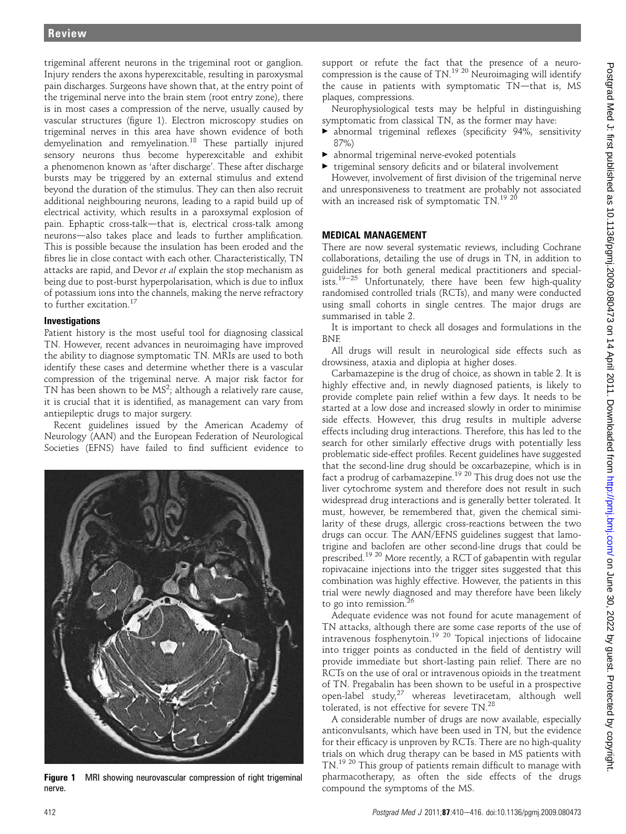trigeminal afferent neurons in the trigeminal root or ganglion. Injury renders the axons hyperexcitable, resulting in paroxysmal pain discharges. Surgeons have shown that, at the entry point of the trigeminal nerve into the brain stem (root entry zone), there is in most cases a compression of the nerve, usually caused by vascular structures (figure 1). Electron microscopy studies on trigeminal nerves in this area have shown evidence of both demyelination and remyelination.<sup>18</sup> These partially injured sensory neurons thus become hyperexcitable and exhibit a phenomenon known as 'after discharge'. These after discharge bursts may be triggered by an external stimulus and extend beyond the duration of the stimulus. They can then also recruit additional neighbouring neurons, leading to a rapid build up of electrical activity, which results in a paroxsymal explosion of pain. Ephaptic cross-talk-that is, electrical cross-talk among neurons-also takes place and leads to further amplification. This is possible because the insulation has been eroded and the fibres lie in close contact with each other. Characteristically, TN attacks are rapid, and Devor et al explain the stop mechanism as being due to post-burst hyperpolarisation, which is due to influx of potassium ions into the channels, making the nerve refractory to further excitation.<sup>17</sup>

#### Investigations

Patient history is the most useful tool for diagnosing classical TN. However, recent advances in neuroimaging have improved the ability to diagnose symptomatic TN. MRIs are used to both identify these cases and determine whether there is a vascular compression of the trigeminal nerve. A major risk factor for TN has been shown to be MS<sup>2</sup>; although a relatively rare cause, it is crucial that it is identified, as management can vary from antiepileptic drugs to major surgery.

Recent guidelines issued by the American Academy of Neurology (AAN) and the European Federation of Neurological Societies (EFNS) have failed to find sufficient evidence to



**Figure 1** MRI showing neurovascular compression of right trigeminal nerve.

support or refute the fact that the presence of a neurocompression is the cause of  $TN$ .<sup>19 20</sup> Neuroimaging will identify the cause in patients with symptomatic TN-that is, MS plaques, compressions.

Neurophysiological tests may be helpful in distinguishing symptomatic from classical TN, as the former may have:

- $\blacktriangleright$  abnormal trigeminal reflexes (specificity 94%, sensitivity 87%)
- $\blacktriangleright$  abnormal trigeminal nerve-evoked potentials
- $\blacktriangleright$  trigeminal sensory deficits and or bilateral involvement

However, involvement of first division of the trigeminal nerve and unresponsiveness to treatment are probably not associated with an increased risk of symptomatic TN.<sup>19 20</sup>

#### MEDICAL MANAGEMENT

There are now several systematic reviews, including Cochrane collaborations, detailing the use of drugs in TN, in addition to guidelines for both general medical practitioners and specialists.<sup>19-25</sup> Unfortunately, there have been few high-quality randomised controlled trials (RCTs), and many were conducted using small cohorts in single centres. The major drugs are summarised in table 2.

It is important to check all dosages and formulations in the BNF.

All drugs will result in neurological side effects such as drowsiness, ataxia and diplopia at higher doses.

Carbamazepine is the drug of choice, as shown in table 2. It is highly effective and, in newly diagnosed patients, is likely to provide complete pain relief within a few days. It needs to be started at a low dose and increased slowly in order to minimise side effects. However, this drug results in multiple adverse effects including drug interactions. Therefore, this has led to the search for other similarly effective drugs with potentially less problematic side-effect profiles. Recent guidelines have suggested that the second-line drug should be oxcarbazepine, which is in fact a prodrug of carbamazepine.<sup>19</sup> <sup>20</sup> This drug does not use the liver cytochrome system and therefore does not result in such widespread drug interactions and is generally better tolerated. It must, however, be remembered that, given the chemical similarity of these drugs, allergic cross-reactions between the two drugs can occur. The AAN/EFNS guidelines suggest that lamotrigine and baclofen are other second-line drugs that could be prescribed.19 20 More recently, a RCT of gabapentin with regular ropivacaine injections into the trigger sites suggested that this combination was highly effective. However, the patients in this trial were newly diagnosed and may therefore have been likely to go into remission.<sup>26</sup>

Adequate evidence was not found for acute management of TN attacks, although there are some case reports of the use of intravenous fosphenytoin.<sup>19</sup> <sup>20</sup> Topical injections of lidocaine into trigger points as conducted in the field of dentistry will provide immediate but short-lasting pain relief. There are no RCTs on the use of oral or intravenous opioids in the treatment of TN. Pregabalin has been shown to be useful in a prospective open-label study,<sup>27</sup> whereas levetiracetam, although well tolerated, is not effective for severe TN.<sup>28</sup>

A considerable number of drugs are now available, especially anticonvulsants, which have been used in TN, but the evidence for their efficacy is unproven by RCTs. There are no high-quality trials on which drug therapy can be based in MS patients with TN.<sup>19 20</sup> This group of patients remain difficult to manage with pharmacotherapy, as often the side effects of the drugs compound the symptoms of the MS.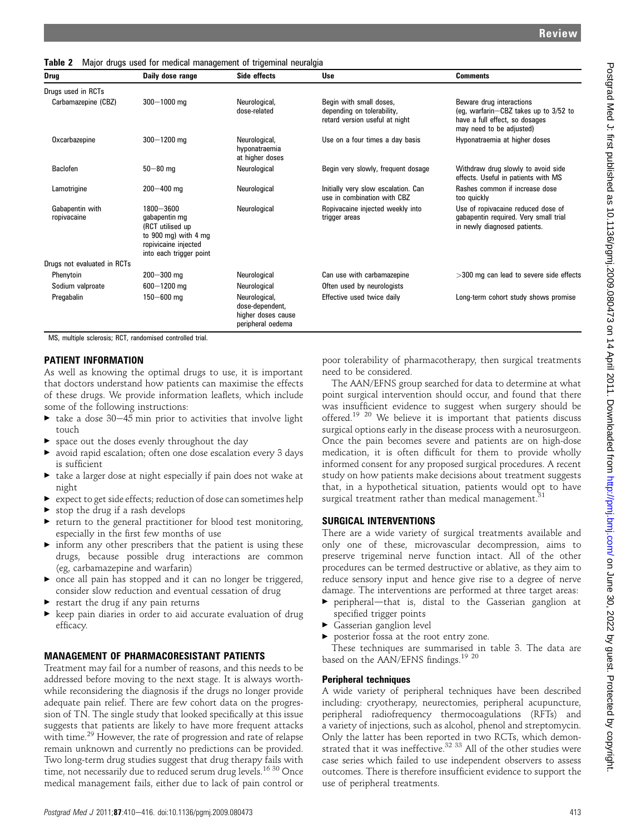| Drug                           | Daily dose range                                                                                                          | Side effects                                                                | <b>Use</b>                                                                              | <b>Comments</b>                                                                                                                 |
|--------------------------------|---------------------------------------------------------------------------------------------------------------------------|-----------------------------------------------------------------------------|-----------------------------------------------------------------------------------------|---------------------------------------------------------------------------------------------------------------------------------|
| Drugs used in RCTs             |                                                                                                                           |                                                                             |                                                                                         |                                                                                                                                 |
| Carbamazepine (CBZ)            | $300 - 1000$ mg                                                                                                           | Neurological,<br>dose-related                                               | Begin with small doses,<br>depending on tolerability,<br>retard version useful at night | Beware drug interactions<br>(eg, warfarin-CBZ takes up to 3/52 to<br>have a full effect, so dosages<br>may need to be adjusted) |
| Oxcarbazepine                  | $300 - 1200$ mg                                                                                                           | Neurological,<br>hyponatraemia<br>at higher doses                           | Use on a four times a day basis                                                         | Hyponatraemia at higher doses                                                                                                   |
| <b>Baclofen</b>                | $50 - 80$ mg                                                                                                              | Neurological                                                                | Begin very slowly, frequent dosage                                                      | Withdraw drug slowly to avoid side<br>effects. Useful in patients with MS                                                       |
| Lamotrigine                    | $200 - 400$ mg                                                                                                            | Neurological                                                                | Initially very slow escalation. Can<br>use in combination with CBZ                      | Rashes common if increase dose<br>too quickly                                                                                   |
| Gabapentin with<br>ropivacaine | 1800-3600<br>gabapentin mg<br>(RCT utilised up<br>to 900 mg) with 4 mg<br>ropivicaine injected<br>into each trigger point | Neurological                                                                | Ropivacaine injected weekly into<br>trigger areas                                       | Use of ropivacaine reduced dose of<br>gabapentin required. Very small trial<br>in newly diagnosed patients.                     |
| Drugs not evaluated in RCTs    |                                                                                                                           |                                                                             |                                                                                         |                                                                                                                                 |
| Phenytoin                      | $200 - 300$ mg                                                                                                            | Neurological                                                                | Can use with carbamazepine                                                              | $>$ 300 mg can lead to severe side effects                                                                                      |
| Sodium valproate               | $600 - 1200$ mg                                                                                                           | Neurological                                                                | Often used by neurologists                                                              |                                                                                                                                 |
| Pregabalin                     | $150 - 600$ mg                                                                                                            | Neurological,<br>dose-dependent,<br>higher doses cause<br>peripheral oedema | Effective used twice daily                                                              | Long-term cohort study shows promise                                                                                            |

Table 2 Major drugs used for medical management of trigeminal neuralgia

MS, multiple sclerosis; RCT, randomised controlled trial.

#### PATIENT INFORMATION

As well as knowing the optimal drugs to use, it is important that doctors understand how patients can maximise the effects of these drugs. We provide information leaflets, which include some of the following instructions:

- $\triangleright$  take a dose 30–45 min prior to activities that involve light touch
- $\blacktriangleright$  space out the doses evenly throughout the day
- avoid rapid escalation; often one dose escalation every 3 days is sufficient
- < take a larger dose at night especially if pain does not wake at night
- < expect to get side effects; reduction of dose can sometimes help
- stop the drug if a rash develops
- return to the general practitioner for blood test monitoring, especially in the first few months of use
- < inform any other prescribers that the patient is using these drugs, because possible drug interactions are common (eg, carbamazepine and warfarin)
- < once all pain has stopped and it can no longer be triggered, consider slow reduction and eventual cessation of drug
- $\blacktriangleright$  restart the drug if any pain returns
- keep pain diaries in order to aid accurate evaluation of drug efficacy.

# MANAGEMENT OF PHARMACORESISTANT PATIENTS

Treatment may fail for a number of reasons, and this needs to be addressed before moving to the next stage. It is always worthwhile reconsidering the diagnosis if the drugs no longer provide adequate pain relief. There are few cohort data on the progression of TN. The single study that looked specifically at this issue suggests that patients are likely to have more frequent attacks with time.<sup>29</sup> However, the rate of progression and rate of relapse remain unknown and currently no predictions can be provided. Two long-term drug studies suggest that drug therapy fails with time, not necessarily due to reduced serum drug levels.<sup>16 30</sup> Once medical management fails, either due to lack of pain control or

poor tolerability of pharmacotherapy, then surgical treatments need to be considered.

The AAN/EFNS group searched for data to determine at what point surgical intervention should occur, and found that there was insufficient evidence to suggest when surgery should be offered.<sup>19 20</sup> We believe it is important that patients discuss surgical options early in the disease process with a neurosurgeon. Once the pain becomes severe and patients are on high-dose medication, it is often difficult for them to provide wholly informed consent for any proposed surgical procedures. A recent study on how patients make decisions about treatment suggests that, in a hypothetical situation, patients would opt to have surgical treatment rather than medical management. $31$ 

#### SURGICAL INTERVENTIONS

There are a wide variety of surgical treatments available and only one of these, microvascular decompression, aims to preserve trigeminal nerve function intact. All of the other procedures can be termed destructive or ablative, as they aim to reduce sensory input and hence give rise to a degree of nerve damage. The interventions are performed at three target areas:

- peripheral-that is, distal to the Gasserian ganglion at specified trigger points
- ▶ Gasserian ganglion level
- < posterior fossa at the root entry zone. These techniques are summarised in table 3. The data are

based on the AAN/EFNS findings.<sup>19</sup><sup>20</sup>

#### Peripheral techniques

A wide variety of peripheral techniques have been described including: cryotherapy, neurectomies, peripheral acupuncture, peripheral radiofrequency thermocoagulations (RFTs) and a variety of injections, such as alcohol, phenol and streptomycin. Only the latter has been reported in two RCTs, which demonstrated that it was ineffective.<sup>32 33</sup> All of the other studies were case series which failed to use independent observers to assess outcomes. There is therefore insufficient evidence to support the use of peripheral treatments.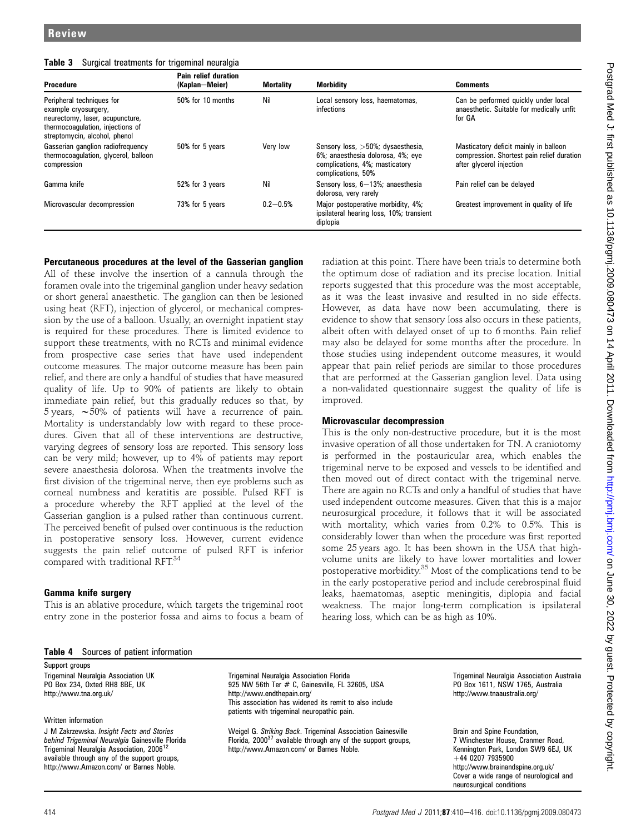#### Table 3 Surgical treatments for trigeminal neuralgia

| <b>Procedure</b>                                                                                                                                          | <b>Pain relief duration</b><br>(Kaplan-Meier) | <b>Mortality</b> | <b>Morbidity</b>                                                                                                               | Comments                                                                                                        |
|-----------------------------------------------------------------------------------------------------------------------------------------------------------|-----------------------------------------------|------------------|--------------------------------------------------------------------------------------------------------------------------------|-----------------------------------------------------------------------------------------------------------------|
| Peripheral techniques for<br>example cryosurgery,<br>neurectomy, laser, acupuncture,<br>thermocoagulation, injections of<br>streptomycin, alcohol, phenol | 50% for 10 months                             | Nil              | Local sensory loss, haematomas,<br>infections                                                                                  | Can be performed quickly under local<br>anaesthetic. Suitable for medically unfit<br>for GA                     |
| Gasserian ganglion radiofrequency<br>thermocoagulation, glycerol, balloon<br>compression                                                                  | 50% for 5 years                               | Very low         | Sensory loss, >50%; dysaesthesia,<br>6%; anaesthesia dolorosa, 4%; eye<br>complications, 4%; masticatory<br>complications, 50% | Masticatory deficit mainly in balloon<br>compression. Shortest pain relief duration<br>after glycerol injection |
| Gamma knife                                                                                                                                               | 52% for 3 years                               | Nil              | Sensory loss, 6-13%; anaesthesia<br>dolorosa, very rarely                                                                      | Pain relief can be delaved                                                                                      |
| Microvascular decompression                                                                                                                               | 73% for 5 years                               | $0.2 - 0.5%$     | Major postoperative morbidity, 4%;<br>ipsilateral hearing loss, 10%; transient<br>diplopia                                     | Greatest improvement in quality of life                                                                         |

#### Percutaneous procedures at the level of the Gasserian ganglion

All of these involve the insertion of a cannula through the foramen ovale into the trigeminal ganglion under heavy sedation or short general anaesthetic. The ganglion can then be lesioned using heat (RFT), injection of glycerol, or mechanical compression by the use of a balloon. Usually, an overnight inpatient stay is required for these procedures. There is limited evidence to support these treatments, with no RCTs and minimal evidence from prospective case series that have used independent outcome measures. The major outcome measure has been pain relief, and there are only a handful of studies that have measured quality of life. Up to 90% of patients are likely to obtain immediate pain relief, but this gradually reduces so that, by 5 years,  $\sim$  50% of patients will have a recurrence of pain. Mortality is understandably low with regard to these procedures. Given that all of these interventions are destructive, varying degrees of sensory loss are reported. This sensory loss can be very mild; however, up to 4% of patients may report severe anaesthesia dolorosa. When the treatments involve the first division of the trigeminal nerve, then eye problems such as corneal numbness and keratitis are possible. Pulsed RFT is a procedure whereby the RFT applied at the level of the Gasserian ganglion is a pulsed rather than continuous current. The perceived benefit of pulsed over continuous is the reduction in postoperative sensory loss. However, current evidence suggests the pain relief outcome of pulsed RFT is inferior compared with traditional RFT.<sup>34</sup>

# Gamma knife surgery

This is an ablative procedure, which targets the trigeminal root entry zone in the posterior fossa and aims to focus a beam of

#### radiation at this point. There have been trials to determine both the optimum dose of radiation and its precise location. Initial reports suggested that this procedure was the most acceptable, as it was the least invasive and resulted in no side effects. However, as data have now been accumulating, there is evidence to show that sensory loss also occurs in these patients, albeit often with delayed onset of up to 6 months. Pain relief may also be delayed for some months after the procedure. In those studies using independent outcome measures, it would appear that pain relief periods are similar to those procedures that are performed at the Gasserian ganglion level. Data using a non-validated questionnaire suggest the quality of life is improved.

# Microvascular decompression

This is the only non-destructive procedure, but it is the most invasive operation of all those undertaken for TN. A craniotomy is performed in the postauricular area, which enables the trigeminal nerve to be exposed and vessels to be identified and then moved out of direct contact with the trigeminal nerve. There are again no RCTs and only a handful of studies that have used independent outcome measures. Given that this is a major neurosurgical procedure, it follows that it will be associated with mortality, which varies from 0.2% to 0.5%. This is considerably lower than when the procedure was first reported some 25 years ago. It has been shown in the USA that highvolume units are likely to have lower mortalities and lower postoperative morbidity.<sup>35</sup> Most of the complications tend to be in the early postoperative period and include cerebrospinal fluid leaks, haematomas, aseptic meningitis, diplopia and facial weakness. The major long-term complication is ipsilateral hearing loss, which can be as high as 10%.

# Table 4 Sources of patient information

Support groups Trigeminal Neuralgia Association UK PO Box 234, Oxted RH8 8BE, UK http://www.tna.org.uk/

#### Written information

J M Zakrzewska. Insight Facts and Stories behind Trigeminal Neuralgia Gainesville Florida Trigeminal Neuralgia Association, 2006<sup>12</sup> available through any of the support groups, http://www.Amazon.com/ or Barnes Noble.

Trigeminal Neuralgia Association Florida 925 NW 56th Ter # C, Gainesville, FL 32605, USA http://www.endthepain.org/ This association has widened its remit to also include patients with trigeminal neuropathic pain.

Weigel G. Striking Back. Trigeminal Association Gainesville Florida, 2000<sup>37</sup> available through any of the support groups, http://www.Amazon.com/ or Barnes Noble.

Trigeminal Neuralgia Association Australia PO Box 1611, NSW 1765, Australia http://www.tnaaustralia.org/

Brain and Spine Foundation, 7 Winchester House, Cranmer Road, Kennington Park, London SW9 6EJ, UK +44 0207 7935900 http://www.brainandspine.org.uk/ Cover a wide range of neurological and neurosurgical conditions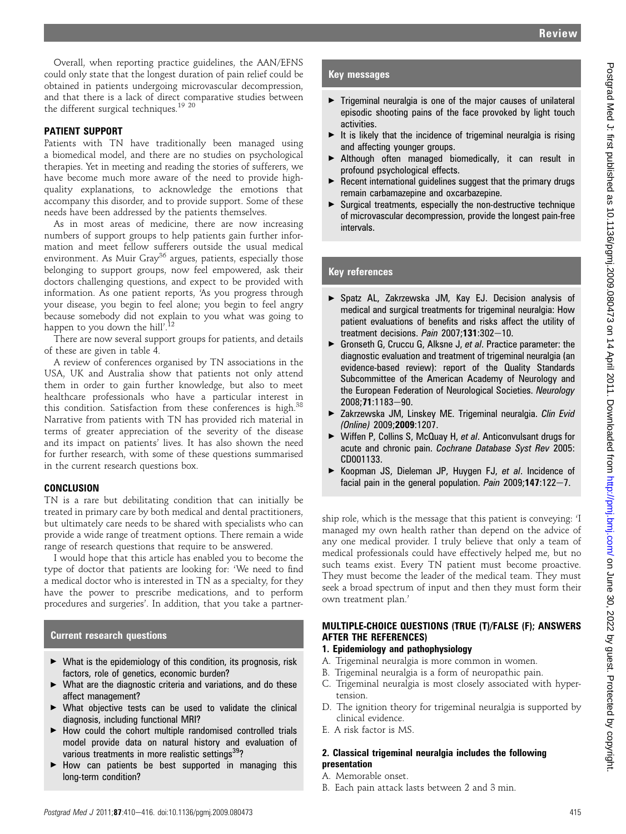Overall, when reporting practice guidelines, the AAN/EFNS could only state that the longest duration of pain relief could be obtained in patients undergoing microvascular decompression, and that there is a lack of direct comparative studies between the different surgical techniques.<sup>19</sup> <sup>20</sup>

# PATIENT SUPPORT

Patients with TN have traditionally been managed using a biomedical model, and there are no studies on psychological therapies. Yet in meeting and reading the stories of sufferers, we have become much more aware of the need to provide highquality explanations, to acknowledge the emotions that accompany this disorder, and to provide support. Some of these needs have been addressed by the patients themselves.

As in most areas of medicine, there are now increasing numbers of support groups to help patients gain further information and meet fellow sufferers outside the usual medical environment. As Muir Gray<sup>36</sup> argues, patients, especially those belonging to support groups, now feel empowered, ask their doctors challenging questions, and expect to be provided with information. As one patient reports, 'As you progress through your disease, you begin to feel alone; you begin to feel angry because somebody did not explain to you what was going to happen to you down the hill'.<sup>12</sup>

There are now several support groups for patients, and details of these are given in table 4.

A review of conferences organised by TN associations in the USA, UK and Australia show that patients not only attend them in order to gain further knowledge, but also to meet healthcare professionals who have a particular interest in this condition. Satisfaction from these conferences is high.<sup>38</sup> Narrative from patients with TN has provided rich material in terms of greater appreciation of the severity of the disease and its impact on patients' lives. It has also shown the need for further research, with some of these questions summarised in the current research questions box.

#### CONCLUSION

TN is a rare but debilitating condition that can initially be treated in primary care by both medical and dental practitioners, but ultimately care needs to be shared with specialists who can provide a wide range of treatment options. There remain a wide range of research questions that require to be answered.

I would hope that this article has enabled you to become the type of doctor that patients are looking for: 'We need to find a medical doctor who is interested in TN as a specialty, for they have the power to prescribe medications, and to perform procedures and surgeries'. In addition, that you take a partner-

# Current research questions

- $\triangleright$  What is the epidemiology of this condition, its prognosis, risk factors, role of genetics, economic burden?
- $\triangleright$  What are the diagnostic criteria and variations, and do these affect management?
- < What objective tests can be used to validate the clinical diagnosis, including functional MRI?
- $\blacktriangleright$  How could the cohort multiple randomised controlled trials model provide data on natural history and evaluation of various treatments in more realistic settings<sup>39</sup>?
- < How can patients be best supported in managing this long-term condition?

#### Key messages

- < Trigeminal neuralgia is one of the major causes of unilateral episodic shooting pains of the face provoked by light touch activities.
- $\blacktriangleright$  It is likely that the incidence of trigeminal neuralgia is rising and affecting younger groups.
- < Although often managed biomedically, it can result in profound psychological effects.
- Recent international guidelines suggest that the primary drugs remain carbamazepine and oxcarbazepine.
- Surgical treatments, especially the non-destructive technique of microvascular decompression, provide the longest pain-free intervals.

# Key references

- ▶ Spatz AL, Zakrzewska JM, Kay EJ. Decision analysis of medical and surgical treatments for trigeminal neuralgia: How patient evaluations of benefits and risks affect the utility of treatment decisions. Pain  $2007;131:302-10$ .
- Gronseth G, Cruccu G, Alksne J, et al. Practice parameter: the diagnostic evaluation and treatment of trigeminal neuralgia (an evidence-based review): report of the Quality Standards Subcommittee of the American Academy of Neurology and the European Federation of Neurological Societies. Neurology 2008;71:1183-90.
- ▶ Zakrzewska JM, Linskey ME. Trigeminal neuralgia. Clin Evid (Online) 2009;2009:1207.
- ▶ Wiffen P, Collins S, McQuay H, et al. Anticonvulsant drugs for acute and chronic pain. Cochrane Database Syst Rev 2005: CD001133.
- ▶ Koopman JS, Dieleman JP, Huygen FJ, et al. Incidence of facial pain in the general population. Pain  $2009;147:122-7$ .

ship role, which is the message that this patient is conveying: 'I managed my own health rather than depend on the advice of any one medical provider. I truly believe that only a team of medical professionals could have effectively helped me, but no such teams exist. Every TN patient must become proactive. They must become the leader of the medical team. They must seek a broad spectrum of input and then they must form their own treatment plan.'

#### MULTIPLE-CHOICE QUESTIONS (TRUE (T)/FALSE (F); ANSWERS AFTER THE REFERENCES)

- 1. Epidemiology and pathophysiology
- A. Trigeminal neuralgia is more common in women.
- B. Trigeminal neuralgia is a form of neuropathic pain.
- C. Trigeminal neuralgia is most closely associated with hypertension.
- D. The ignition theory for trigeminal neuralgia is supported by clinical evidence.
- E. A risk factor is MS.

# 2. Classical trigeminal neuralgia includes the following presentation

- A. Memorable onset.
- B. Each pain attack lasts between 2 and 3 min.